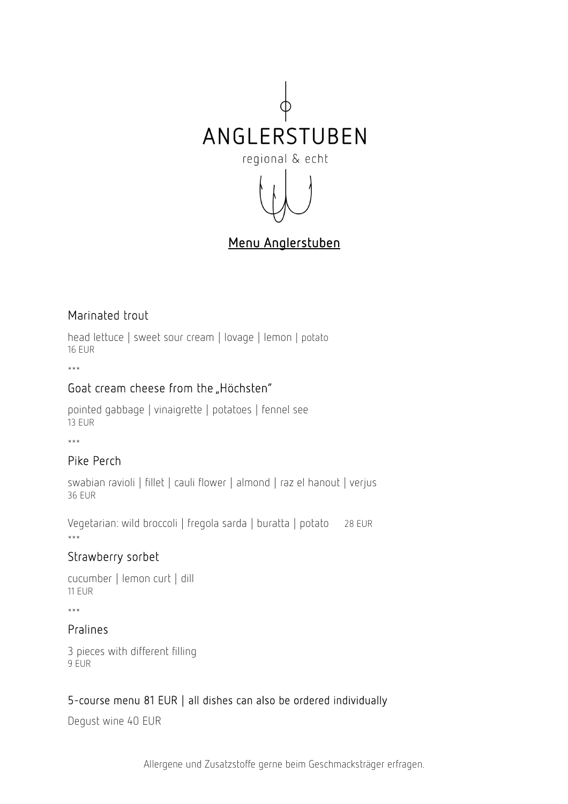

# Menu Anglerstuben

# Marinated trout

head lettuce | sweet sour cream | lovage | lemon | potato 16 EUR

\*\*\*

# Goat cream cheese from the "Höchsten"

pointed gabbage | vinaigrette | potatoes | fennel see 13 EUR

\*\*\*

# Pike Perch

swabian ravioli | fillet | cauli flower | almond | raz el hanout | verjus 36 EUR

Vegetarian: wild broccoli | fregola sarda | buratta | potato 28 EUR \*\*\*

#### Strawberry sorbet

```
cucumber | lemon curt | dill 
11 EUR
```
\*\*\*

#### Pralines

3 pieces with different filling 9 EUR

# 5-course menu 81 EUR | all dishes can also be ordered individually

Degust wine 40 EUR